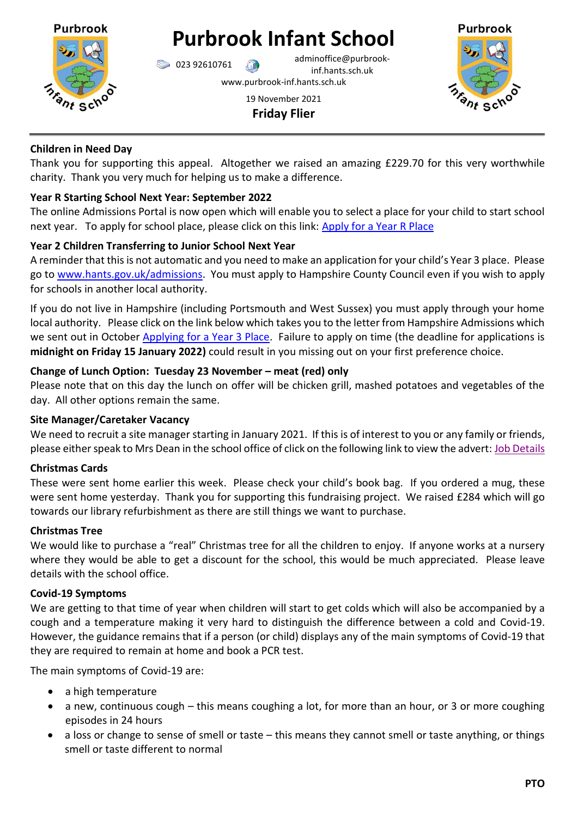

# **Purbrook Infant School**

023 92610761 adminoffice@purbrookinf.hants.sch.uk

www.purbrook-inf.hants.sch.uk

## 19 November 2021 **Friday Flier**



## **Children in Need Day**

Thank you for supporting this appeal. Altogether we raised an amazing £229.70 for this very worthwhile charity. Thank you very much for helping us to make a difference.

# **Year R Starting School Next Year: September 2022**

The online Admissions Portal is now open which will enable you to select a place for your child to start school next year. To apply for school place, please click on this link: [Apply for a Year R Place](https://educationonlineportal.hants.gov.uk/EducationOnlinePortal/en?ReturnUrl=%2FEducationOnlinePortal)

# **Year 2 Children Transferring to Junior School Next Year**

A reminder that this is not automatic and you need to make an application for your child's Year 3 place. Please go to [www.hants.gov.uk/admissions.](http://www.hants.gov.uk/admissions) You must apply to Hampshire County Council even if you wish to apply for schools in another local authority.

If you do not live in Hampshire (including Portsmouth and West Sussex) you must apply through your home local authority. Please click on the link below which takes you to the letter from Hampshire Admissions which we sent out in October [Applying for a Year 3 Place.](https://www.purbrook-inf.hants.sch.uk/wp-content/uploads/2021/10/20-10-2021-HCC-Y2-application-advice-letter.pdf) Failure to apply on time (the deadline for applications is **midnight on Friday 15 January 2022)** could result in you missing out on your first preference choice.

## **Change of Lunch Option: Tuesday 23 November – meat (red) only**

Please note that on this day the lunch on offer will be chicken grill, mashed potatoes and vegetables of the day. All other options remain the same.

# **Site Manager/Caretaker Vacancy**

We need to recruit a site manager starting in January 2021. If this is of interest to you or any family or friends, please either speak to Mrs Dean in the school office of click on the following link to view the advert[: Job Details](https://hampshire.education-jobs.org.uk/Vacancy/Details/90281/L1ZhY2FuY3kvU2VhcmNoUmVzdWx0cz9yZXRyaWV2ZUZpbHRlcj10cnVl)

# **Christmas Cards**

These were sent home earlier this week. Please check your child's book bag. If you ordered a mug, these were sent home yesterday. Thank you for supporting this fundraising project. We raised £284 which will go towards our library refurbishment as there are still things we want to purchase.

## **Christmas Tree**

We would like to purchase a "real" Christmas tree for all the children to enjoy. If anyone works at a nursery where they would be able to get a discount for the school, this would be much appreciated. Please leave details with the school office.

## **Covid-19 Symptoms**

We are getting to that time of year when children will start to get colds which will also be accompanied by a cough and a temperature making it very hard to distinguish the difference between a cold and Covid-19. However, the guidance remains that if a person (or child) displays any of the main symptoms of Covid-19 that they are required to remain at home and book a PCR test.

The main symptoms of Covid-19 are:

- a high temperature
- a new, continuous cough this means coughing a lot, for more than an hour, or 3 or more coughing episodes in 24 hours
- a loss or change to sense of smell or taste this means they cannot smell or taste anything, or things smell or taste different to normal